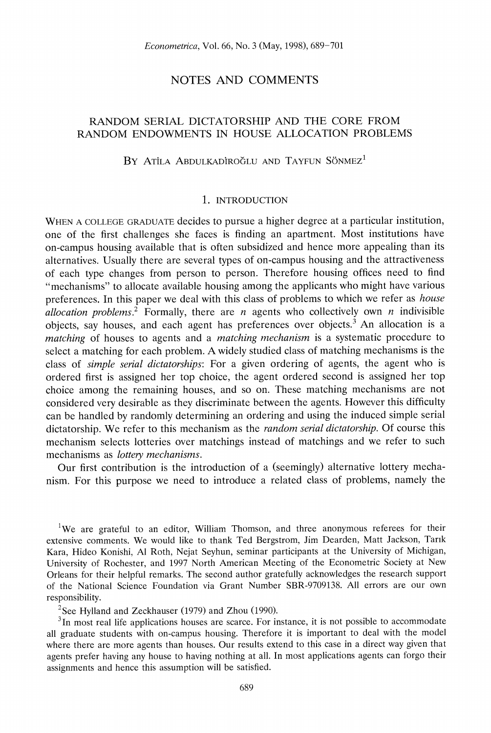# **NOTES AND COMMENTS**

# **RANDOM SERIAL DICTATORSHIP AND THE CORE FROM RANDOM ENDOWMENTS IN HOUSE ALLOCATION PROBLEMS**

## BY ATILA ABDULKADIROĞLU AND TAYFUN SÖNMEZ<sup>1</sup>

### **1. INTRODUCTION**

**WHEN A COLLEGE GRADUATE decides to pursue a higher degree at a particular institution, one of the first challenges she faces is finding an apartment. Most institutions have on-campus housing available that is often subsidized and hence more appealing than its alternatives. Usually there are several types of on-campus housing and the attractiveness of each type changes from person to person. Therefore housing offices need to find 44mechanisms" to allocate available housing among the applicants who might have various preferences. In this paper we deal with this class of problems to which we refer as house**  allocation problems.<sup>2</sup> Formally, there are *n* agents who collectively own *n* indivisible **objects, say houses, and each agent has preferences over objects.3 An allocation is a matching of houses to agents and a matching mechanism is a systematic procedure to select a matching for each problem. A widely studied class of matching mechanisms is the class of simple serial dictatorships: For a given ordering of agents, the agent who is ordered first is assigned her top choice, the agent ordered second is assigned her top choice among the remaining houses, and so on. These matching mechanisms are not considered very desirable as they discriminate between the agents. However this difficulty can be handled by randomly determining an ordering and using the induced simple serial**  dictatorship. We refer to this mechanism as the *random serial dictatorship*. Of course this **mechanism selects lotteries over matchings instead of matchings and we refer to such mechanisms as lottery mechanisms.** 

**Our first contribution is the introduction of a (seemingly) alternative lottery mechanism. For this purpose we need to introduce a related class of problems, namely the** 

<sup>1</sup>We are grateful to an editor, William Thomson, and three anonymous referees for their **extensive comments. We would like to thank Ted Bergstrom, Jim Dearden, Matt Jackson, Tarnk Kara, Hideo Konishi, Al Roth, Nejat Seyhun, seminar participants at the University of Michigan, University of Rochester, and 1997 North American Meeting of the Econometric Society at New Orleans for their helpful remarks. The second author gratefully acknowledges the research support of the National Science Foundation via Grant Number SBR-9709138. All errors are our own responsibility.** 

**2See Hylland and Zeckhauser (1979) and Zhou (1990).** 

**3In most real life applications houses are scarce. For instance, it is not possible to accommodate all graduate students with on-campus housing. Therefore it is important to deal with the model where there are more agents than houses. Our results extend to this case in a direct way given that agents prefer having any house to having nothing at all. In most applications agents can forgo their assignments and hence this assumption will be satisfied.**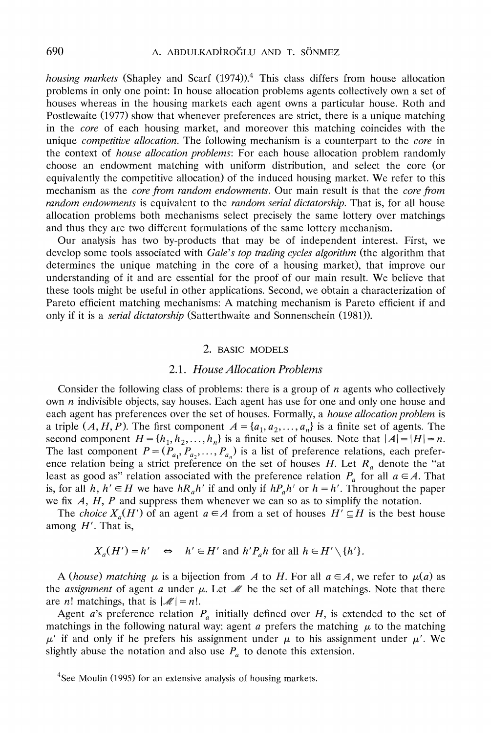**housing markets (Shapley and Scarf (1974)).4 This class differs from house allocation problems in only one point: In house allocation problems agents collectively own a set of houses whereas in the housing markets each agent owns a particular house. Roth and Postlewaite (1977) show that whenever preferences are strict, there is a unique matching in the core of each housing market, and moreover this matching coincides with the unique competitive allocation. The following mechanism is a counterpart to the core in the context of house allocation problems: For each house allocation problem randomly choose an endowment matching with uniform distribution, and select the core (or equivalently the competitive allocation) of the induced housing market. We refer to this mechanism as the core from random endowments. Our main result is that the core from random endowments is equivalent to the random serial dictatorship. That is, for all house allocation problems both mechanisms select precisely the same lottery over matchings and thus they are two different formulations of the same lottery mechanism.** 

**Our analysis has two by-products that may be of independent interest. First, we develop some tools associated with Gale's top trading cycles algorithm (the algorithm that determines the unique matching in the core of a housing market), that improve our understanding of it and are essential for the proof of our main result. We believe that these tools might be useful in other applications. Second, we obtain a characterization of Pareto efficient matching mechanisms: A matching mechanism is Pareto efficient if and only if it is a serial dictatorship (Satterthwaite and Sonnenschein (1981)).** 

### **2. BASIC MODELS**

### **2.1. House Allocation Problems**

**Consider the following class of problems: there is a group of n agents who collectively own n indivisible objects, say houses. Each agent has use for one and only one house and each agent has preferences over the set of houses. Formally, a house allocation problem is a** triple  $(A, H, P)$ . The first component  $A = \{a_1, a_2, \ldots, a_n\}$  is a finite set of agents. The **second component**  $H = \{h_1, h_2, \ldots, h_n\}$  **is a finite set of houses. Note that**  $|A| = |H| = n$ **.** The last component  $P = (P_{a_1}, P_{a_2}, \ldots, P_{a_n})$  is a list of preference relations, each preference relation being a strict preference on the set of houses  $H$ . Let  $R_a$  denote the "at least as good as" relation associated with the preference relation  $P_a$  for all  $a \in A$ . That is, for all  $h, h' \in H$  we have  $hR_a h'$  if and only if  $hP_a h'$  or  $h = h'$ . Throughout the paper **we fix A, H, P and suppress them whenever we can so as to simplify the notation.** 

The *choice*  $X_a(H')$  of an agent  $a \in A$  from a set of houses  $H' \subseteq H$  is the best house **among H'. That is,** 

$$
X_a(H') = h' \Leftrightarrow h' \in H' \text{ and } h'P_a h \text{ for all } h \in H' \setminus \{h'\}.
$$

A (house) matching  $\mu$  is a bijection from A to H. For all  $a \in A$ , we refer to  $\mu(a)$  as the *assignment* of agent *a* under  $\mu$ . Let  $\mathcal{M}$  be the set of all matchings. Note that there are *n*! matchings, that is  $|\mathcal{M}| = n!$ .

Agent a's preference relation  $P_a$  initially defined over  $H$ , is extended to the set of matchings in the following natural way: agent *a* prefers the matching  $\mu$  to the matching  $\mu'$  if and only if he prefers his assignment under  $\mu$  to his assignment under  $\mu'$ . We slightly abuse the notation and also use  $P_a$  to denote this extension.

**<sup>4</sup>See Moulin (1995) for an extensive analysis of housing markets.**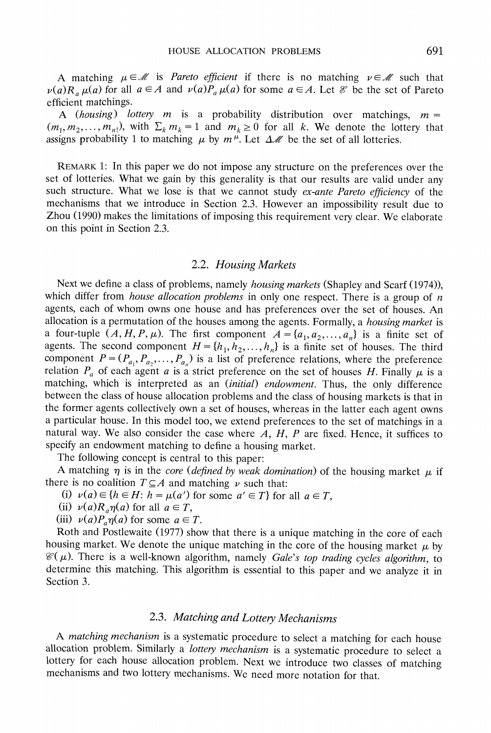**A** matching  $\mu \in \mathcal{M}$  is *Pareto efficient* if there is no matching  $\nu \in \mathcal{M}$  such that  $\nu(a)R_{a}\mu(a)$  for all  $a \in A$  and  $\nu(a)P_{a}\mu(a)$  for some  $a \in A$ . Let  $\mathcal{E}$  be the set of Pareto **efficient matchings.** 

**A** (housing) lottery  $m$  is a probability distribution over matchings,  $m =$  $(m_1, m_2, \ldots, m_n)$ , with  $\Sigma_k m_k = 1$  and  $m_k \ge 0$  for all k. We denote the lottery that assigns probability 1 to matching  $\mu$  by  $m^{\mu}$ . Let  $\Delta M$  be the set of all lotteries.

**REMARK 1: In this paper we do not impose any structure on the preferences over the set of lotteries. What we gain by this generality is that our results are valid under any**  such structure. What we lose is that we cannot study *ex-ante Pareto efficiency* of the **mechanisms that we introduce in Section 2.3. However an impossibility result due to Zhou (1990) makes the limitations of imposing this requirement very clear. We elaborate on this point in Section 2.3.** 

### **2.2. Housing Markets**

Next we define a class of problems, namely *housing markets* (Shapley and Scarf (1974)), which differ from *house allocation problems* in only one respect. There is a group of  $n$ **agents, each of whom owns one house and has preferences over the set of houses. An allocation is a permutation of the houses among the agents. Formally, a housing market is a** four-tuple  $(A, H, P, \mu)$ . The first component  $A = \{a_1, a_2, ..., a_n\}$  is a finite set of agents. The second component  $H = \{h_1, h_2, \ldots, h_n\}$  is a finite set of houses. The third component  $P = (P_{a_1}, P_{a_2}, \ldots, P_{a_n})$  is a list of preference relations, where the preference relation  $P_a$  of each agent a is a strict preference on the set of houses H. Finally  $\mu$  is a **matching, which is interpreted as an (initial) endowment. Thus, the only difference between the class of house allocation problems and the class of housing markets is that in the former agents collectively own a set of houses, whereas in the latter each agent owns a particular house. In this model too, we extend preferences to the set of matchings in a natural way. We also consider the case where A, H, P are fixed. Hence, it suffices to specify an endowment matching to define a housing market.** 

**The following concept is central to this paper:** 

A matching  $\eta$  is in the *core (defined by weak domination)* of the housing market  $\mu$  if there is no coalition  $T \subseteq A$  and matching  $\nu$  such that:

(i)  $\nu(a) \in \{h \in H: h = \mu(a') \text{ for some } a' \in T\} \text{ for all } a \in T,$ 

(ii)  $\nu(a)R_{a}\eta(a)$  for all  $a \in T$ ,

(iii)  $\nu(a)P_{a}\eta(a)$  for some  $a \in T$ .

**Roth and Postlewaite (1977) show that there is a unique matching in the core of each**  housing market. We denote the unique matching in the core of the housing market  $\mu$  by  $\mathcal{C}(\mu)$ . There is a well-known algorithm, namely *Gale's top trading cycles algorithm*, to **determine this matching. This algorithm is essential to this paper and we analyze it in Section 3.** 

## **2.3. Matching and Lottery Mechanisms**

**A matching mechanism is a systematic procedure to select a matching for each house allocation problem. Similarly a lottery mechanism is a systematic procedure to select a lottery for each house allocation problem. Next we introduce two classes of matching mechanisms and two lottery mechanisms. We need more notation for that.**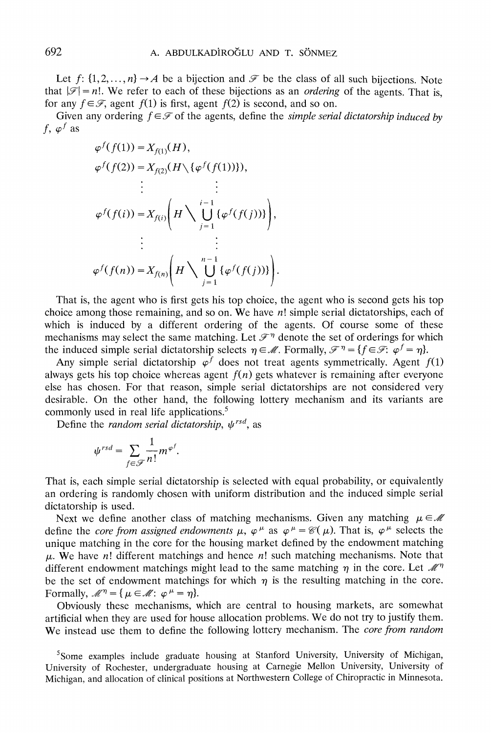Let  $f: \{1, 2, \ldots, n\} \rightarrow A$  be a bijection and  $\mathcal F$  be the class of all such bijections. Note that  $|\mathscr{F}| = n!$ . We refer to each of these bijections as an *ordering* of the agents. That is, for any  $f \in \mathcal{F}$ , agent  $f(1)$  is first, agent  $f(2)$  is second, and so on.

Given any ordering  $f \in \mathcal{F}$  of the agents, define the *simple serial dictatorship induced by*  $f, \varphi^f$  as

$$
\varphi^f(f(1)) = X_{f(1)}(H),
$$
  
\n
$$
\varphi^f(f(2)) = X_{f(2)}(H \setminus {\varphi^f(f(1))}),
$$
  
\n
$$
\vdots
$$
  
\n
$$
\varphi^f(f(i)) = X_{f(i)} \left( H \setminus \bigcup_{j=1}^{i-1} {\varphi^f(f(j))} \right),
$$
  
\n
$$
\vdots
$$
  
\n
$$
\varphi^f(f(n)) = X_{f(n)} \left( H \setminus \bigcup_{j=1}^{n-1} {\varphi^f(f(j))} \right).
$$

**That is, the agent who is first gets his top choice, the agent who is second gets his top choice among those remaining, and so on. We have n! simple serial dictatorships, each of which is induced by a different ordering of the agents. Of course some of these**  mechanisms may select the same matching. Let  $\mathcal{F}^{\eta}$  denote the set of orderings for which the induced simple serial dictatorship selects  $\eta \in \mathcal{M}$ . Formally,  $\mathcal{F}^{\eta} = \{f \in \mathcal{F} : \varphi^f = \eta\}$ .

Any simple serial dictatorship  $\varphi^f$  does not treat agents symmetrically. Agent  $f(1)$ always gets his top choice whereas agent  $f(n)$  gets whatever is remaining after everyone **else has chosen. For that reason, simple serial dictatorships are not considered very desirable. On the other hand, the following lottery mechanism and its variants are**  commonly used in real life applications.<sup>5</sup>

Define the *random serial dictatorship*,  $\psi^{rsd}$ , as

$$
\psi^{rsd} = \sum_{f \in \mathscr{F}} \frac{1}{n!} m^{\varphi^f}
$$

**That is, each simple serial dictatorship is selected with equal probability, or equivalently an ordering is randomly chosen with uniform distribution and the induced simple serial dictatorship is used.** 

Next we define another class of matching mechanisms. Given any matching  $\mu \in \mathcal{M}$ **define the** *core from assigned endowments* $\mu$ **,**  $\varphi^{\mu}$  **as**  $\varphi^{\mu} = \mathcal{C}(\mu)$ **. That is,**  $\varphi^{\mu}$  **selects the unique matching in the core for the housing market defined by the endowment matching**   $\mu$ . We have n! different matchings and hence n! such matching mechanisms. Note that different endowment matchings might lead to the same matching  $\eta$  in the core. Let  $\mathcal{M}^{\eta}$ be the set of endowment matchings for which  $\eta$  is the resulting matching in the core. Formally,  $\mathcal{M}^{\eta} = {\mu \in \mathcal{M}: \varphi^{\mu} = \eta}.$ 

**Obviously these mechanisms, which are central to housing markets, are somewhat artificial when they are used for house allocation problems. We do not try to justify them. We instead use them to define the following lottery mechanism. The core from random** 

<sup>5</sup> Some examples include graduate housing at Stanford University, University of Michigan, **University of Rochester, undergraduate housing at Carnegie Mellon University, University of Michigan, and allocation of clinical positions at Northwestern College of Chiropractic in Minnesota.**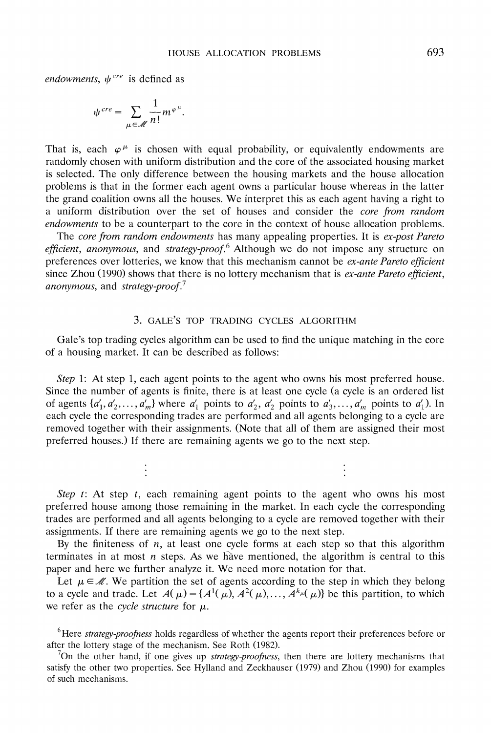endowments,  $\psi^{cre}$  is defined as

$$
\psi^{cre} = \sum_{\mu \in \mathcal{M}} \frac{1}{n!} m^{\varphi^{\mu}}.
$$

That is, each  $\varphi^{\mu}$  is chosen with equal probability, or equivalently endowments are **randomly chosen with uniform distribution and the core of the associated housing market is selected. The only difference between the housing markets and the house allocation problems is that in the former each agent owns a particular house whereas in the latter the grand coalition owns all the houses. We interpret this as each agent having a right to a uniform distribution over the set of houses and consider the core from random**  endowments to be a counterpart to the core in the context of house allocation problems.

**The core from random endowments has many appealing properties. It is ex-post Pareto efficient, anonymous, and strategy-proof.6 Although we do not impose any structure on preferences over lotteries, we know that this mechanism cannot be ex-ante Pareto efficient since Zhou (1990) shows that there is no lottery mechanism that is ex-ante Pareto efficient, anonymous, and strategy-proof.7** 

#### **3. GALE'S TOP TRADING CYCLES ALGORITHM**

**Gale's top trading cycles algorithm can be used to find the unique matching in the core of a housing market. It can be described as follows:** 

**Step 1: At step 1, each agent points to the agent who owns his most preferred house. Since the number of agents is finite, there is at least one cycle (a cycle is an ordered list**  of agents  $\{a'_1, a'_2, \ldots, a'_m\}$  where  $a'_1$  points to  $a'_2, a'_2$  points to  $a'_3, \ldots, a'_m$  points to  $a'_1$ ). In **each cycle the corresponding trades are performed and all agents belonging to a cycle are removed together with their assignments. (Note that all of them are assigned their most preferred houses.) If there are remaining agents we go to the next step.** 

Step t: At step t, each remaining agent points to the agent who owns his most **preferred house among those remaining in the market. In each cycle the corresponding trades are performed and all agents belonging to a cycle are removed together with their assignments. If there are remaining agents we go to the next step.** 

By the finiteness of  $n$ , at least one cycle forms at each step so that this algorithm terminates in at most  $n$  steps. As we have mentioned, the algorithm is central to this **paper and here we further analyze it. We need more notation for that.** 

Let  $\mu \in \mathcal{M}$ . We partition the set of agents according to the step in which they belong to a cycle and trade. Let  $A(\mu) = \{A^1(\mu), A^2(\mu), \dots, A^{k_{\mu}}(\mu)\}$  be this partition, to which we refer as the *cycle structure* for  $\mu$ .

**6Here strategy-proofness holds regardless of whether the agents report their preferences before or after the lottery stage of the mechanism. See Roth (1982).** 

**7On the other hand, if one gives up strategy-proofness, then there are lottery mechanisms that satisfy the other two properties. See Hylland and Zeckhauser (1979) and Zhou (1990) for examples of such mechanisms.**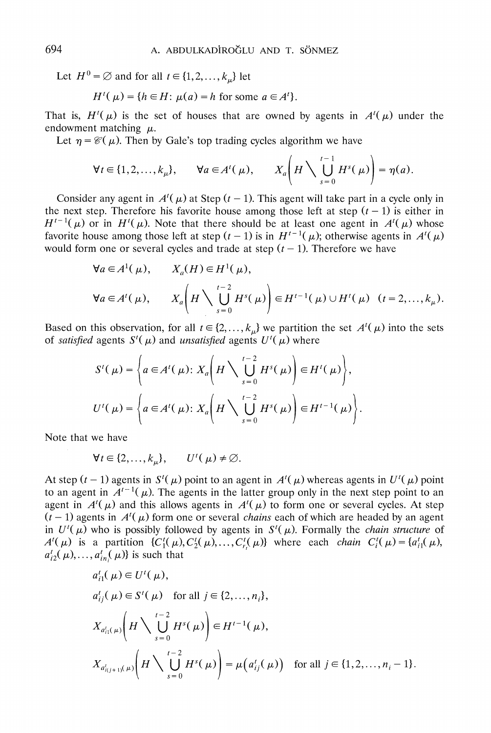Let  $H^0 = \emptyset$  and for all  $t \in \{1, 2, \ldots, k_u\}$  let

$$
H'(\mu) = \{ h \in H \colon \mu(a) = h \text{ for some } a \in A' \}.
$$

That is,  $H'(\mu)$  is the set of houses that are owned by agents in  $A'(\mu)$  under the endowment matching  $\mu$ .

Let  $\eta = \mathcal{C}(\mu)$ . Then by Gale's top trading cycles algorithm we have

$$
\forall t \in \{1, 2, \dots, k_{\mu}\}, \qquad \forall a \in A'(\mu), \qquad X_a\bigg(H\bigwedge \bigcup_{s=0}^{t-1} H^s(\mu)\bigg) = \eta(a).
$$

Consider any agent in  $A^{t}(\mu)$  at Step  $(t - 1)$ . This agent will take part in a cycle only in the next step. Therefore his favorite house among those left at step  $(t - 1)$  is either in  $H^{t-1}(\mu)$  or in  $H^{t}(\mu)$ . Note that there should be at least one agent in  $A^{t}(\mu)$  whose favorite house among those left at step  $(t - 1)$  is in  $H^{t-1}(\mu)$ ; otherwise agents in  $A^{t}(\mu)$ would form one or several cycles and trade at step  $(t - 1)$ . Therefore we have

$$
\forall a \in A^1(\mu), \qquad X_a(H) \in H^1(\mu),
$$
  
\n
$$
\forall a \in A^i(\mu), \qquad X_a\left(H \setminus \bigcup_{s=0}^{i-2} H^s(\mu)\right) \in H^{i-1}(\mu) \cup H^i(\mu) \quad (i = 2, ..., k_\mu).
$$

Based on this observation, for all  $t \in \{2, ..., k_{\mu}\}\$  we partition the set  $A^{t}(\mu)$  into the sets of *satisfied* agents  $S^{\prime}(\mu)$  and *unsatisfied* agents  $U^{\prime}(\mu)$  where

$$
S'(\mu) = \left\{ a \in A'(\mu): X_a\left(H \setminus \bigcup_{s=0}^{t-2} H^s(\mu)\right) \in H'(\mu) \right\},
$$
  

$$
U'(\mu) = \left\{ a \in A'(\mu): X_a\left(H \setminus \bigcup_{s=0}^{t-2} H^s(\mu)\right) \in H^{t-1}(\mu) \right\}.
$$

**Note that we have** 

$$
\forall t \in \{2,\ldots,k_{\mu}\}, \qquad U^{\dagger}(\mu) \neq \emptyset.
$$

At step  $(t-1)$  agents in  $S^t(\mu)$  point to an agent in  $A^t(\mu)$  whereas agents in  $U^t(\mu)$  point to an agent in  $A^{t-1}(\mu)$ . The agents in the latter group only in the next step point to an agent in  $A^{i}(\mu)$  and this allows agents in  $A^{i}(\mu)$  to form one or several cycles. At step  $(t - 1)$  agents in  $A^{t}(\mu)$  form one or several *chains* each of which are headed by an agent in  $U^{\dagger}(\mu)$  who is possibly followed by agents in  $S^{\dagger}(\mu)$ . Formally the *chain structure* of **A**<sup>t</sup>( $\mu$ ) is a partition {C<sub>1</sub><sup>t</sup>( $\mu$ ), C<sub>2</sub><sup>t</sup>( $\mu$ ),..., C<sub>t<sub>1</sub><sup>t</sup>( $\mu$ )} where each *chain* C<sub>1</sub><sup>t</sup>( $\mu$ ) = {a<sub>1</sub><sup>t</sup><sub>1</sub>t( $\mu$ ),</sub>  $a_{i2}^t(\mu), \ldots, a_{in}^t(\mu)$  is such that

$$
a'_{ij}(\mu) \in U'(\mu),
$$
  
\n
$$
a'_{ij}(\mu) \in S'(\mu) \text{ for all } j \in \{2, ..., n_i\},
$$
  
\n
$$
X_{a'_{i1}(\mu)}\left(H \setminus \bigcup_{s=0}^{t-2} H^s(\mu)\right) \in H^{t-1}(\mu),
$$
  
\n
$$
X_{a'_{i(j+1)}(\mu)}\left(H \setminus \bigcup_{s=0}^{t-2} H^s(\mu)\right) = \mu(a'_{ij}(\mu)) \text{ for all } j \in \{1, 2, ..., n_i - 1\}.
$$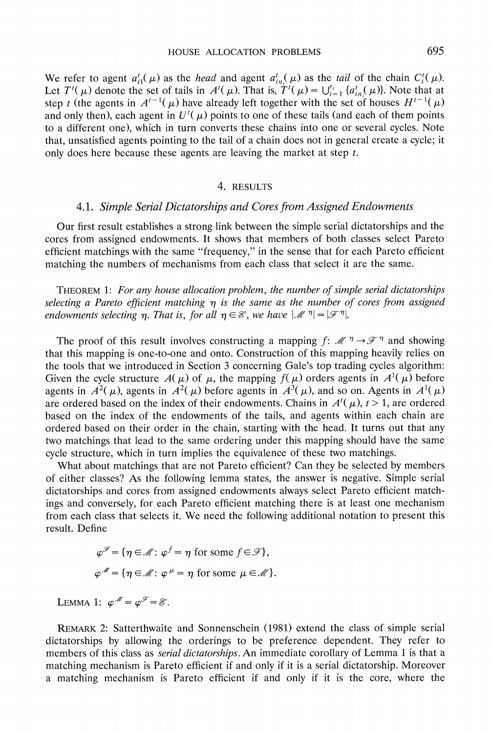We refer to agent  $a_{i1}^t(\mu)$  as the *head* and agent  $a_{in}^t(\mu)$  as the *tail* of the chain  $C_i^t(\mu)$ . Let  $T'(\mu)$  denote the set of tails in  $A'(\mu)$ . That is,  $T'(\mu) = \bigcup_{i=1}^{r_i} \{a_{in}^i(\mu)\}\)$ . Note that at step t (the agents in  $A^{t-1}(\mu)$  have already left together with the set of houses  $H^{t-1}(\mu)$ and only then), each agent in  $U^{\prime}(\mu)$  points to one of these tails (and each of them points **to a different one), which in turn converts these chains into one or several cycles. Note that, unsatisfied agents pointing to the tail of a chain does not in general create a cycle; it only does here because these agents are leaving the market at step t.** 

#### **4. RESULTS**

## **4.1. Simple Serial Dictatorships and Cores from Assigned Endowments**

**Our first result establishes a strong link between the simple serial dictatorships and the cores from assigned endowments. It shows that members of both classes select Pareto efficient matchings with the same "frequency," in the sense that for each Pareto efficient matching the numbers of mechanisms from each class that select it are the same.** 

**THEOREM 1: For any house allocation problem, the number of simple serial dictatorships**  selecting a Pareto efficient matching  $\eta$  is the same as the number of cores from assigned *endowments selecting n. That is, for all*  $\eta \in \mathcal{E}$ *, we have*  $|\mathcal{M}^{\eta}| = |\mathcal{F}^{\eta}|$ *.* 

The proof of this result involves constructing a mapping  $f: \mathcal{M} \rightarrow \mathcal{F}$  and showing **that this mapping is one-to-one and onto. Construction of this mapping heavily relies on the tools that we introduced in Section 3 concerning Gale's top trading cycles algorithm:**  Given the cycle structure  $A(\mu)$  of  $\mu$ , the mapping  $f(\mu)$  orders agents in  $A^1(\mu)$  before agents in  $A^2(\mu)$ , agents in  $A^2(\mu)$  before agents in  $A^3(\mu)$ , and so on. Agents in  $A^1(\mu)$ are ordered based on the index of their endowments. Chains in  $A^{t}(\mu)$ ,  $t > 1$ , are ordered **based on the index of the endowments of the tails, and agents within each chain are ordered based on their order in the chain, starting with the head. It turns out that any two matchings that lead to the same ordering under this mapping should have the same cycle structure, which in turn implies the equivalence of these two matchings.** 

**What about matchings that are not Pareto efficient? Can they be selected by members of either classes? As the following lemma states, the answer is negative. Simple serial dictatorships and cores from assigned endowments always select Pareto efficient matchings and conversely, for each Pareto efficient matching there is at least one mechanism from each class that selects it. We need the following additional notation to present this result. Define** 

> $\varphi^{\mathscr{F}} = \{ \eta \in \mathscr{M} : \varphi^f = \eta \text{ for some } f \in \mathscr{F} \}.$  $\varphi^{\mathcal{M}} = {\eta \in \mathcal{M}: \varphi^{\mu} = \eta \text{ for some } \mu \in \mathcal{M}}.$

**LEMMA 1:**  $\varphi^{\mathcal{M}} = \varphi^{\mathcal{F}} = \mathcal{E}$ .

**REMARK 2: Satterthwaite and Sonnenschein (1981) extend the class of simple serial dictatorships by allowing the orderings to be preference dependent. They refer to members of this class as serial dictatorships. An immediate corollary of Lemma 1 is that a matching mechanism is Pareto efficient if and only if it is a serial dictatorship. Moreover a matching mechanism is Pareto efficient if and only if it is the core, where the**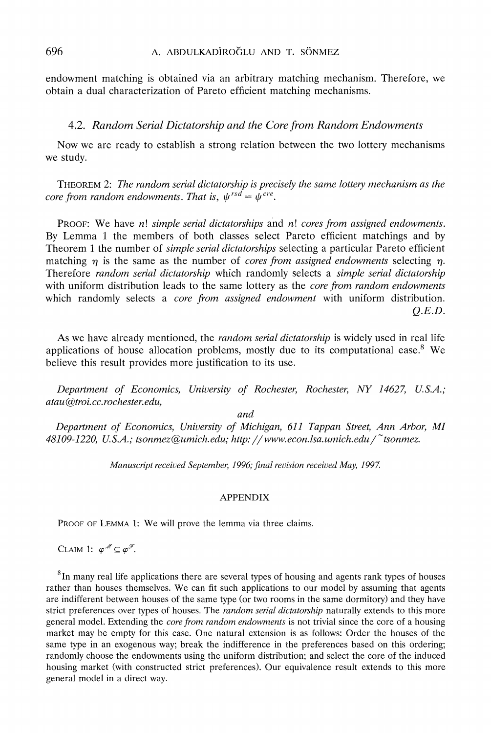**endowment matching is obtained via an arbitrary matching mechanism. Therefore, we obtain a dual characterization of Pareto efficient matching mechanisms.** 

### **4.2. Random Serial Dictatorship and the Core from Random Endowments**

**Now we are ready to establish a strong relation between the two lottery mechanisms we study.** 

**THEOREM 2: The random serial dictatorship is precisely the same lottery mechanism as the**  core from random endowments. That is,  $\psi^{rsd} = \psi^{cre}$ .

**PROOF: We have n! simple serial dictatorships and n! cores from assigned endowments. By Lemma 1 the members of both classes select Pareto efficient matchings and by Theorem 1 the number of simple serial dictatorships selecting a particular Pareto efficient**  matching  $\eta$  is the same as the number of *cores from assigned endowments* selecting  $\eta$ . Therefore *random serial dictatorship* which randomly selects a *simple serial dictatorship* **with uniform distribution leads to the same lottery as the core from random endowments which randomly selects a core from assigned endowment with uniform distribution. Q.E.D.** 

**As we have already mentioned, the random serial dictatorship is widely used in real life applications of house allocation problems, mostly due to its computational ease.8 We believe this result provides more justification to its use.** 

**Department of Economics, University of Rochester, Rocheste;; NY 14627, U.S.A.; atau @troi. cc. rochester. edu,** 

**and** 

**Department of Economics, University of Michigan, 611 Tappan Street, Ann Arbor, MI 48109-1220, U.S.A.; tsonmez@umich.edu; http://www.econ.lsa.urnich.edu/ tsonmez.** 

**Manuscript received Septembe;; 1996; final revision received May, 1997.** 

## **APPENDIX**

**PROOF OF LEMMA 1: We will prove the lemma via three claims.** 

**CLAIM 1:**  $\varphi^{\mathcal{M}} \subseteq \varphi^{\mathcal{F}}$ .

**8In many real life applications there are several types of housing and agents rank types of houses rather than houses themselves. We can fit such applications to our model by assuming that agents are indifferent between houses of the same type (or two rooms in the same dormitory) and they have strict preferences over types of houses. The random serial dictatorship naturally extends to this more general model. Extending the core from random endowments is not trivial since the core of a housing market may be empty for this case. One natural extension is as follows: Order the houses of the same type in an exogenous way; break the indifference in the preferences based on this ordering; randomly choose the endowments using the uniform distribution; and select the core of the induced housing market (with constructed strict preferences). Our equivalence result extends to this more general model in a direct way.**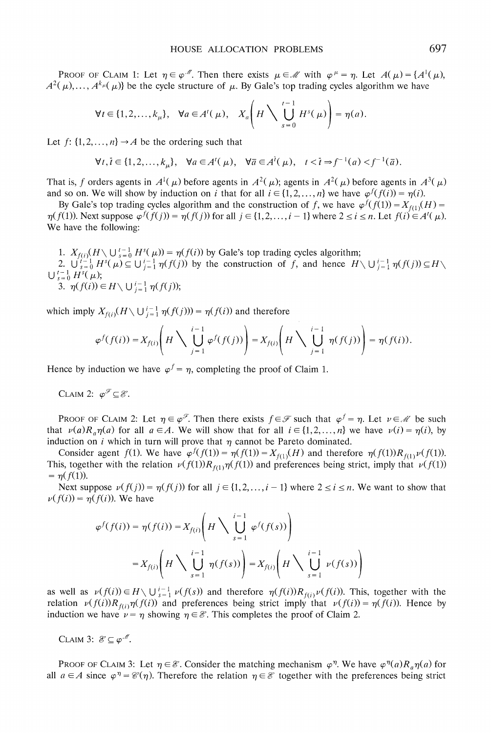**PROOF OF CLAIM 1:** Let  $\eta \in \varphi^{n}$ . Then there exists  $\mu \in \mathcal{M}$  with  $\varphi^{\mu} = \eta$ . Let  $A(\mu) = \{A^{1}(\mu),$  $A^2(\mu), \ldots, A^{k_{\mu}}(\mu)$ } be the cycle structure of  $\mu$ . By Gale's top trading cycles algorithm we have

$$
\forall t \in \{1, 2, \dots, k_{\mu}\}, \quad \forall a \in A^t(\mu), \quad X_a\left(H\setminus \bigcup_{s=0}^{t-1} H^s(\mu)\right) = \eta(a).
$$

Let  $f: \{1, 2, ..., n\} \rightarrow A$  be the ordering such that

$$
\forall t, \overline{t} \in \{1, 2, \dots, k_{\mu}\}, \quad \forall a \in A^t(\mu), \quad \forall \overline{a} \in A^{\overline{t}}(\mu), \quad t < \overline{t} \Rightarrow f^{-1}(a) < f^{-1}(\overline{a}).
$$

That is, *f* orders agents in  $A^1(\mu)$  before agents in  $A^2(\mu)$ ; agents in  $A^2(\mu)$  before agents in  $A^3(\mu)$ and so on. We will show by induction on i that for all  $i \in \{1, 2, ..., n\}$  we have  $\varphi^f(f(i)) = \eta(i)$ .

By Gale's top trading cycles algorithm and the construction of f, we have  $\varphi^{f}(f(1)) = X_{f(1)}(H) =$  $\eta(f(1))$ . Next suppose  $\varphi^f(f(j)) = \eta(f(j))$  for all  $j \in \{1, 2, \ldots, i-1\}$  where  $2 \le i \le n$ . Let  $f(i) \in A^t(\mu)$ . **We have the following:** 

1.  $X_{f(i)}(H \setminus \bigcup_{s=0}^{t-1} H^s(\mu)) = \eta(f(i))$  by Gale's top trading cycles algorithm; 2.  $\bigcup_{s=0}^{i-1} H^s(\mu) \subseteq \bigcup_{j=1}^{i-1} \eta(f(j))$  by the construction of f, and hence  $H \setminus \bigcup_{j=1}^{i-1} \eta(f(j)) \subseteq H \setminus$  $U_{s=0}^{t-1} H^{s}(\mu);$ **3.**  $\eta(f(i)) \in H \setminus \bigcup_{i=1}^{i-1} \eta(f(j));$ 

which imply  $X_{f(i)}(H \setminus \bigcup_{i=1}^{i-1} \eta(f(j))) = \eta(f(i))$  and therefore

$$
\varphi^f(f(i)) = X_{f(i)}\left(H\setminus \bigcup_{j=1}^{i-1} \varphi^f(f(j))\right) = X_{f(i)}\left(H\setminus \bigcup_{j=1}^{i-1} \eta(f(j))\right) = \eta(f(i)).
$$

Hence by induction we have  $\varphi^f = \eta$ , completing the proof of Claim 1.

**CLAIM 2:**  $\varphi^{\mathcal{F}} \subseteq \mathcal{E}$ .

**PROOF OF CLAIM 2:** Let  $\eta \in \varphi^{\mathcal{F}}$ . Then there exists  $f \in \mathcal{F}$  such that  $\varphi^f = \eta$ . Let  $v \in \mathcal{M}$  be such that  $\nu(a)R_{a}\eta(a)$  for all  $a \in A$ . We will show that for all  $i \in \{1,2,\ldots,n\}$  we have  $\nu(i) = \eta(i)$ , by induction on  $i$  which in turn will prove that  $\eta$  cannot be Pareto dominated.

Consider agent  $f(1)$ . We have  $\varphi^f(f(1)) = \eta(f(1)) = X_{f(1)}(H)$  and therefore  $\eta(f(1))R_{f(1)}\nu(f(1))$ . This, together with the relation  $\nu(f(1))R_{f(1)}\eta(f(1))$  and preferences being strict, imply that  $\nu(f(1))$  $= \eta(f(1)).$ 

Next suppose  $\nu(f(j)) = \eta(f(j))$  for all  $j \in \{1, 2, ..., i-1\}$  where  $2 \le i \le n$ . We want to show that  $\nu(f(i)) = \eta(f(i))$ . We have

$$
\varphi^f(f(i)) = \eta(f(i)) = X_{f(i)} \left( H \setminus \bigcup_{s=1}^{i-1} \varphi^f(f(s)) \right)
$$

$$
= X_{f(i)} \left( H \setminus \bigcup_{s=1}^{i-1} \eta(f(s)) \right) = X_{f(i)} \left( H \setminus \bigcup_{s=1}^{i-1} \nu(f(s)) \right)
$$

as well as  $\nu(f(i)) \in H \setminus \bigcup_{s=1}^{i-1} \nu(f(s))$  and therefore  $\eta(f(i))R_{f(i)}\nu(f(i))$ . This, together with the **relation**  $\nu(f(i))R_{f(i)}\eta(f(i))$  and preferences being strict imply that  $\nu(f(i))=\eta(f(i))$ . Hence by **induction we have**  $\nu = \eta$  **showing**  $\eta \in \mathcal{E}$ **. This completes the proof of Claim 2.** 

CLAIM 3:  $\mathcal{E} \subseteq \varphi^{\mathcal{M}}$ .

**PROOF OF CLAIM 3:** Let  $\eta \in \mathcal{E}$ . Consider the matching mechanism  $\varphi^{\eta}$ . We have  $\varphi^{\eta}(a)R_{\eta}\eta(a)$  for **all**  $a \in A$  since  $\varphi^n = \mathcal{C}(\eta)$ . Therefore the relation  $\eta \in \mathcal{E}$  together with the preferences being strict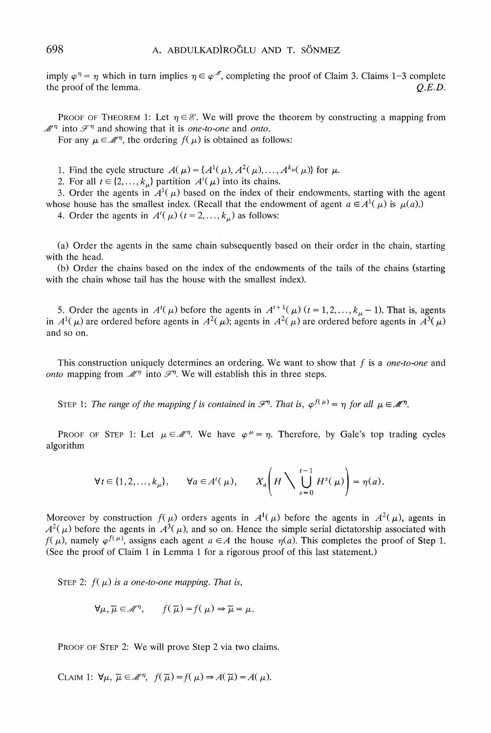imply  $\varphi^{\eta} = \eta$  which in turn implies  $\eta \in \varphi^{\mathcal{M}}$ , completing the proof of Claim 3. Claims 1-3 complete the proof of the lemma. *Q.E.D.* the proof of the lemma.

**PROOF OF THEOREM 1:** Let  $\eta \in \mathcal{E}$ . We will prove the theorem by constructing a mapping from  $\mathcal{M}^{\eta}$  into  $\mathcal{F}^{\eta}$  and showing that it is *one-to-one* and *onto*.

For any  $\mu \in \mathcal{M}^{\eta}$ , the ordering  $f(\mu)$  is obtained as follows:

**1. Find the cycle structure**  $A(\mu) = \{A^1(\mu), A^2(\mu), \dots, A^{k_{\mu(\mu)}}\}$  for  $\mu$ .

2. For all  $t \in \{2, ..., k_{\mu}\}\$  partition  $A^t(\mu)$  into its chains.

3. Order the agents in  $A^{1}(\mu)$  based on the index of their endowments, starting with the agent whose house has the smallest index. (Recall that the endowment of agent  $a \in A^1(\mu)$  is  $\mu(a)$ .)

4. Order the agents in  $A^{t}(\mu)$  ( $t = 2,..., k_{\mu}$ ) as follows:

**(a) Order the agents in the same chain subsequently based on their order in the chain, starting with the head.** 

**(b) Order the chains based on the index of the endowments of the tails of the chains (starting with the chain whose tail has the house with the smallest index).** 

5. Order the agents in  $A^{t}(\mu)$  before the agents in  $A^{t+1}(\mu)$   $(t = 1, 2, ..., k_{\mu} - 1)$ . That is, agents in  $A^1(\mu)$  are ordered before agents in  $A^2(\mu)$ ; agents in  $A^2(\mu)$  are ordered before agents in  $A^3(\mu)$ **and so on.** 

**This construction uniquely determines an ordering. We want to show that f is a one-to-one and**  *onto* mapping from  $\mathcal{M}^{\eta}$  into  $\mathcal{F}^{\eta}$ . We will establish this in three steps.

**STEP 1:** The range of the mapping f is contained in  $\mathscr{F}^n$ . That is,  $\varphi^{f(\mu)} = \eta$  for all  $\mu \in \mathscr{M}^n$ .

**PROOF OF STEP 1: Let**  $\mu \in \mathcal{M}^n$ **. We have**  $\varphi^{\mu} = \eta$ **. Therefore, by Gale's top trading cycles algorithm** 

$$
\forall t \in \{1, 2, \dots, k_{\mu}\}, \qquad \forall a \in A^{\ell}(\mu), \qquad X_a \left(H \setminus \bigcup_{s=0}^{t-1} H^s(\mu)\right) = \eta(a).
$$

Moreover by construction  $f(\mu)$  orders agents in  $A^1(\mu)$  before the agents in  $A^2(\mu)$ , agents in  $A^2(\mu)$  before the agents in  $A^3(\mu)$ , and so on. Hence the simple serial dictatorship associated with  $f(\mu)$ , namely  $\varphi^{f(\mu)}$ , assigns each agent  $a \in A$  the house  $\eta(a)$ . This completes the proof of Step 1. **(See the proof of Claim 1 in Lemma 1 for a rigorous proof of this last statement.)** 

**STEP 2:**  $f(\mu)$  is a one-to-one mapping. That is,

$$
\forall \mu, \overline{\mu} \in \mathcal{M}^{\eta}, \qquad f(\overline{\mu}) = f(\mu) \Rightarrow \overline{\mu} = \mu.
$$

**PROOF OF STEP 2: We will prove Step 2 via two claims.** 

**CLAIM 1:**  $\forall \mu, \overline{\mu} \in \mathcal{M}^{\eta}, \ f(\overline{\mu}) = f(\mu) \Rightarrow A(\overline{\mu}) = A(\mu).$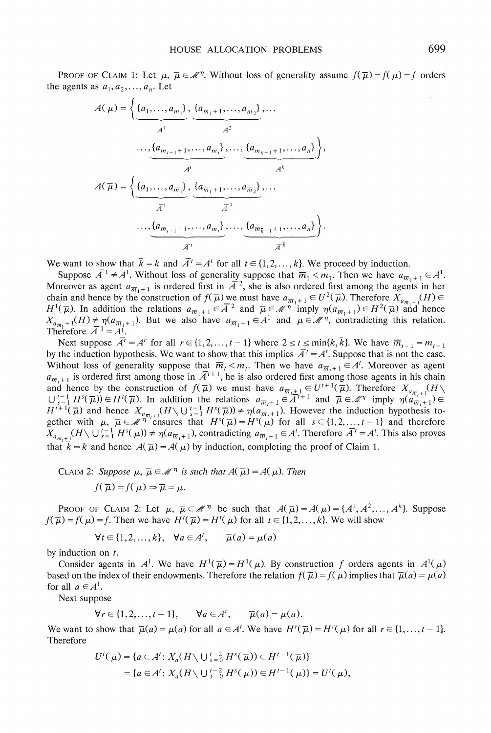**PROOF OF CLAIM 1:** Let  $\mu$ ,  $\bar{\mu} \in \mathcal{M}^{\eta}$ . Without loss of generality assume  $f(\bar{\mu}) = f(\mu) = f$  orders the agents as  $a_1, a_2, \ldots, a_n$ . Let

$$
A(\mu) = \left\{ \underbrace{(a_1, ..., a_{m_1})}_{A^1}, \underbrace{(a_{m_1+1}, ..., a_{m_2})}_{A^2}, \dots, \underbrace{(a_{m_{k-1}+1}, ..., a_{m_t})}_{A^k}, \dots, \underbrace{(a_{m_{k-1}+1}, ..., a_n)}_{A^k} \right\},
$$

$$
A(\overline{\mu}) = \left\{ \underbrace{(a_1, ..., a_{\overline{m_1}})}_{\overline{A}^1}, \underbrace{(a_{\overline{m_1}+1}, ..., a_{\overline{m_2}})}_{\overline{A}^2}, \dots, \underbrace{(a_{\overline{m_{k-1}+1}}, ..., a_n)}_{\overline{A}^k} \right\}.
$$

We want to show that  $\bar{k} = k$  and  $\bar{A}^t = A^t$  for all  $t \in \{1, 2, ..., k\}$ . We proceed by induction.

Suppose  $\overline{A}^1 \neq A^1$ . Without loss of generality suppose that  $\overline{m}_1 < m_1$ . Then we have  $a_{\overline{m}_1+1} \in A^1$ . Moreover as agent  $a_{\overline{m}_{1}+1}$  is ordered first in  $\overline{A}^2$ , she is also ordered first among the agents in her chain and hence by the construction of  $f(\overline{\mu})$  we must have  $a_{\overline{m}_1+1} \in U^2(\overline{\mu})$ . Therefore  $X_{a_{\overline{m}-1}}(H) \in$  $H^1(\overline{\mu})$ . In addition the relations  $a_{\overline{m}_1+1} \in A^2$  and  $\overline{\mu} \in \mathcal{M}^{\eta}$  imply  $\eta(a_{\overline{m}_1+1}) \in H^2(\overline{\mu})$  and hence  $X_{a_{\overline{m}_1}+1}(H) \neq \eta(a_{\overline{m}_1+1})$ . But we also have  $a_{\overline{m}_1+1} \in A^1$  and  $\mu \in \mathcal{M}^{\eta}$ , contradicting this relation. Therefore  $\overline{A}^1 = A^1$ .

Next suppose  $\overline{A'} = A'$  for all  $r \in \{1, 2, ..., t-1\}$  where  $2 \le t \le \min\{k, \overline{k}\}\)$ . We have  $\overline{m}_{t-1} = m_{t-1}$ by the induction hypothesis. We want to show that this implies  $\overline{A}^t = A^t$ . Suppose that is not the case. Without loss of generality suppose that  $\overline{m}_t < m_t$ . Then we have  $a_{\overline{m}_{t+1}} \in A^t$ . Moreover as agent  $a_{\overline{m},+1}$  is ordered first among those in  $\overline{A}^{t+1}$ , he is also ordered first among those agents in his chain and hence by the construction of  $f(\overline{\mu})$  we must have  $a_{\overline{m},\pm1} \in U^{t+1}(\overline{\mu})$ . Therefore  $X_{a_{\overline{m},+1}}$  $\bigcup_{s=1}^{t-1} H^s(\overline{\mu}) \in H^t(\overline{\mu})$ . In addition the relations  $a_{\overline{m}_t+1} \in A^{t+1}$  and  $\overline{\mu} \in \mathcal{M}^{\eta}$  imply  $\eta(a_{\overline{m}_t+1}) \in H^{t+1}(\overline{\mu})$  and hence  $X_{a_{\overline{m}_t+1}}(H \setminus \bigcup_{s=1}^{t-1} H^s(\overline{\mu})) \neq \eta(a_{\overline{m}_t+1})$ . H **ighther with**  $\mu$ **,**  $\overline{\mu} \in \mathcal{M}^{\eta}$  ensures that  $H^{s}(\overline{\mu}) = H^{s}(\mu)$  for all  $s \in \{1, 2, ..., t-1\}$  and therefore  $X_{a_{\overline{n}_t+1}}(H \setminus \bigcup_{s=1}^{t-1} H^s(\mu)) \neq \eta(a_{\overline{n}_t+1})$ , contradicting  $a_{\overline{n}_t+1} \in A^t$ . Therefore  $\overline{A}^t = A^t$ . This also proves that  $\bar{k} = k$  and hence  $A(\bar{\mu}) = A(\mu)$  by induction, completing the proof of Claim 1.

**CLAIM 2:** Suppose  $\mu$ ,  $\overline{\mu} \in \mathcal{M}^{\eta}$  is such that  $A(\overline{\mu}) = A(\mu)$ . Then

$$
f(\overline{\mu}) = f(\mu) \Rightarrow \overline{\mu} = \mu.
$$

**PROOF OF CLAIM 2:** Let  $\mu$ ,  $\bar{\mu} \in \mathcal{M}^{\eta}$  be such that  $A(\bar{\mu}) = A(\mu) = \{A^1, A^2, \dots, A^k\}$ . Suppose  $f(\overline{\mu}) = f(\mu) = f$ . Then we have  $H'(\overline{\mu}) = H'(\mu)$  for all  $t \in \{1, 2, \dots, k\}$ . We will show

$$
\forall t \in \{1, 2, \dots, k\}, \quad \forall a \in A^t, \qquad \overline{\mu}(a) = \mu(a)
$$

**by induction on t.** 

Consider agents in  $A^1$ . We have  $H^1(\bar{\mu}) = H^1(\mu)$ . By construction f orders agents in  $A^1(\mu)$ based on the index of their endowments. Therefore the relation  $f(\bar{\mu}) = f(\mu)$  implies that  $\bar{\mu}(a) = \mu(a)$ for all  $a \in A^1$ .

**Next suppose** 

$$
\forall r \in \{1, 2, \dots, t-1\}, \qquad \forall a \in A^r, \qquad \overline{\mu}(a) = \mu(a).
$$

We want to show that  $\overline{\mu}(a) = \mu(a)$  for all  $a \in A^t$ . We have  $H^r(\overline{\mu}) = H^r(\mu)$  for all  $r \in \{1, \ldots, t-1\}$ . **Therefore** 

$$
U^{t}(\overline{\mu}) = \{ a \in A^{t} : X_{a}(H \setminus \bigcup_{s=0}^{t-2} H^{s}(\overline{\mu})) \in H^{t-1}(\overline{\mu}) \}
$$
  
=  $\{ a \in A^{t} : X_{a}(H \setminus \bigcup_{s=0}^{t-2} H^{s}(\mu)) \in H^{t-1}(\mu) \} = U^{t}(\mu),$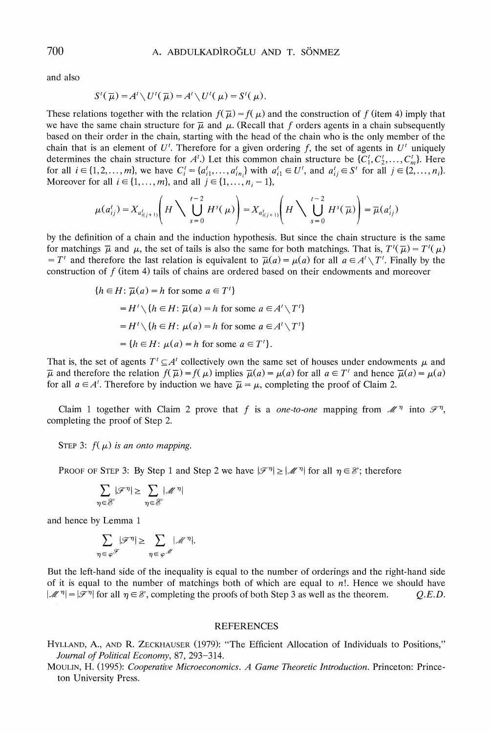**and also** 

$$
S'(\overline{\mu})=A'\setminus U'(\overline{\mu})=A'\setminus U'(\mu)=S'(\mu).
$$

These relations together with the relation  $f(\bar{\mu}) = f(\mu)$  and the construction of f (item 4) imply that we have the same chain structure for  $\overline{\mu}$  and  $\mu$ . (Recall that *f* orders agents in a chain subsequently **based on their order in the chain, starting with the head of the chain who is the only member of the**  chain that is an element of  $U^{\prime}$ . Therefore for a given ordering f, the set of agents in  $U^{\prime}$  uniquely determines the chain structure for  $A<sup>t</sup>$ .) Let this common chain structure be  $\{C_1<sup>t</sup>, C_2<sup>t</sup>, \ldots, C_m<sup>t</sup>\}$ . Here for all  $i \in \{1, 2, ..., m\}$ , we have  $C_i' = \{a_{i1}^1, ..., a_{in_i}^t\}$  with  $a_{i1}^t \in U'$ , and  $a_{ij}^t \in S'$  for all  $j \in \{2, ..., n_i\}$ . Moreover for all  $i \in \{1, ..., m\}$ , and all  $j \in \{1, ..., n_i - 1\}$ ,

$$
\mu(a_{ij}^t) = X_{a_{i(j+1)}^t} \left( H \sum_{s=0}^{t-2} H^s(\mu) \right) = X_{a_{i(j+1)}^t} \left( H \sum_{s=0}^{t-2} H^s(\overline{\mu}) \right) = \overline{\mu}(a_{ij}^t)
$$

**by the definition of a chain and the induction hypothesis. But since the chain structure is the same**  for matchings  $\bar{\mu}$  and  $\mu$ , the set of tails is also the same for both matchings. That is,  $T'(\bar{\mu}) = T'(\mu)$  $T^{t}$  and therefore the last relation is equivalent to  $\bar{\mu}(a) = \mu(a)$  for all  $a \in A' \setminus T^{t}$ . Finally by the **construction of f (item 4) tails of chains are ordered based on their endowments and moreover** 

$$
\{h \in H \colon \overline{\mu}(a) = h \text{ for some } a \in T'\}
$$

$$
= H' \setminus \{h \in H \colon \overline{\mu}(a) = h \text{ for some } a \in A' \setminus T'\}
$$

$$
= H' \setminus \{h \in H \colon \mu(a) = h \text{ for some } a \in A' \setminus T'\}
$$

$$
= \{h \in H \colon \mu(a) = h \text{ for some } a \in T'\}.
$$

That is, the set of agents  $T' \subseteq A'$  collectively own the same set of houses under endowments  $\mu$  and  $\overline{\mu}$  and therefore the relation  $f(\overline{\mu}) = f(\mu)$  implies  $\overline{\mu}(a) = \mu(a)$  for all  $a \in T^t$  and hence  $\overline{\mu}(a) = \mu(a)$ for all  $a \in A'$ . Therefore by induction we have  $\overline{\mu} = \mu$ , completing the proof of Claim 2.

Claim 1 together with Claim 2 prove that f is a one-to-one mapping from  $\mathcal{M}^{\eta}$  into  $\mathcal{F}^{\eta}$ , **completing the proof of Step 2.** 

**STEP 3:**  $f(\mu)$  is an onto mapping.

**PROOF OF STEP 3:** By Step 1 and Step 2 we have  $|\mathcal{F}^{\eta}| \geq |\mathcal{M}^{\eta}|$  for all  $\eta \in \mathcal{E}$ ; therefore

$$
\sum_{\eta \in \mathcal{E}} |\mathcal{F}^\eta| \geq \sum_{\eta \in \mathcal{E}} |\mathcal{M}^\eta|
$$

**and hence by Lemma 1** 

$$
\sum_{\eta \in \varphi^{\mathcal{F}}} |\mathcal{F}^{\eta}| \geq \sum_{\eta \in \varphi^{\mathcal{M}}} |\mathcal{M}^{\eta}|.
$$

**But the left-hand side of the inequality is equal to the number of orderings and the right-hand side**  of it is equal to the number of matchings both of which are equal to  $n!$ . Hence we should have  $|\mathcal{M}^{\eta}| = |\mathcal{F}^{\eta}|$  for all  $\eta \in \mathcal{E}$ , completing the proofs of both Step 3 as well as the theorem. Q.E.D.

#### **REFERENCES**

- **HYLLAND, A., AND R. ZECKHAUSER (1979): "The Efficient Allocation of Individuals to Positions,"**  Journal of Political Economy, 87, 293-314.
- **MOULIN, H. (1995): Cooperative Microeconomics. A Game Theoretic Introduction. Princeton: Princeton University Press.**